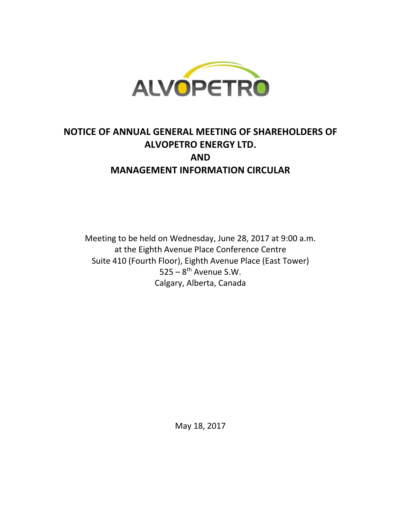

# **NOTICE OF ANNUAL GENERAL MEETING OF SHAREHOLDERS OF ALVOPETRO ENERGY LTD. AND MANAGEMENT INFORMATION CIRCULAR**

Meeting to be held on Wednesday, June 28, 2017 at 9:00 a.m. at the Eighth Avenue Place Conference Centre Suite 410 (Fourth Floor), Eighth Avenue Place (East Tower)  $525 - 8$ <sup>th</sup> Avenue S.W. Calgary, Alberta, Canada

May 18, 2017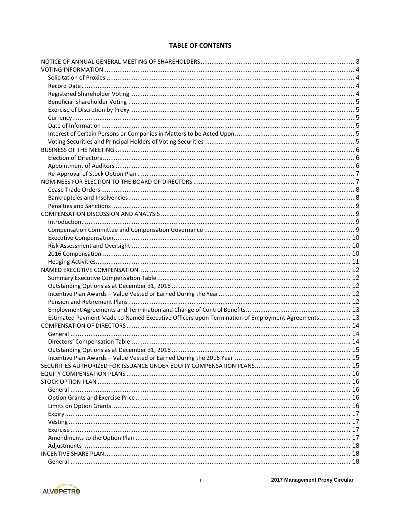# **TABLE OF CONTENTS**

| Estimated Payment Made to Named Executive Officers upon Termination of Employment Agreements 13 |  |
|-------------------------------------------------------------------------------------------------|--|
|                                                                                                 |  |
|                                                                                                 |  |
|                                                                                                 |  |
| Outstanding Options as at December 31, 2016                                                     |  |
|                                                                                                 |  |
|                                                                                                 |  |
|                                                                                                 |  |
|                                                                                                 |  |
|                                                                                                 |  |
|                                                                                                 |  |
|                                                                                                 |  |
|                                                                                                 |  |
|                                                                                                 |  |
|                                                                                                 |  |
|                                                                                                 |  |
|                                                                                                 |  |
|                                                                                                 |  |
|                                                                                                 |  |

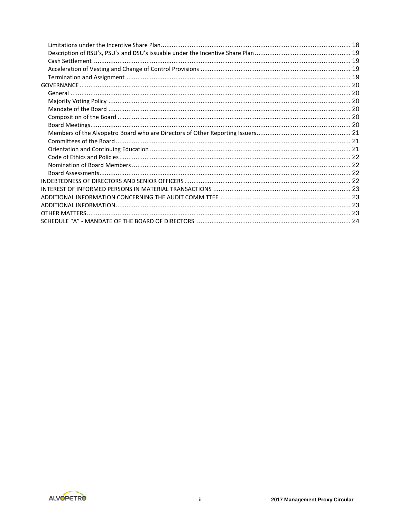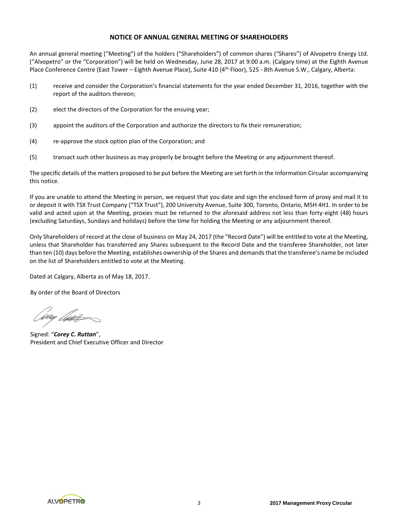## **NOTICE OF ANNUAL GENERAL MEETING OF SHAREHOLDERS**

An annual general meeting ("Meeting") of the holders ("Shareholders") of common shares ("Shares") of Alvopetro Energy Ltd. ("Alvopetro" or the "Corporation") will be held on Wednesday, June 28, 2017 at 9:00 a.m. (Calgary time) at the Eighth Avenue Place Conference Centre (East Tower – Eighth Avenue Place), Suite 410 (4<sup>th</sup> Floor), 525 - 8th Avenue S.W., Calgary, Alberta:

- (1) receive and consider the Corporation's financial statements for the year ended December 31, 2016, together with the report of the auditors thereon;
- (2) elect the directors of the Corporation for the ensuing year;
- (3) appoint the auditors of the Corporation and authorize the directors to fix their remuneration;
- (4) re-approve the stock option plan of the Corporation; and
- (5) transact such other business as may properly be brought before the Meeting or any adjournment thereof.

The specific details of the matters proposed to be put before the Meeting are set forth in the Information Circular accompanying this notice.

If you are unable to attend the Meeting in person, we request that you date and sign the enclosed form of proxy and mail it to or deposit it with TSX Trust Company ("TSX Trust"), 200 University Avenue, Suite 300, Toronto, Ontario, M5H 4H1. In order to be valid and acted upon at the Meeting, proxies must be returned to the aforesaid address not less than forty-eight (48) hours (excluding Saturdays, Sundays and holidays) before the time for holding the Meeting or any adjournment thereof.

Only Shareholders of record at the close of business on May 24, 2017 (the "Record Date") will be entitled to vote at the Meeting, unless that Shareholder has transferred any Shares subsequent to the Record Date and the transferee Shareholder, not later than ten (10) days before the Meeting, establishes ownership of the Shares and demands that the transferee's name be included on the list of Shareholders entitled to vote at the Meeting.

Dated at Calgary, Alberta as of May 18, 2017.

By order of the Board of Directors

Coug *bloo*g

Signed: "*Corey C. Ruttan*", President and Chief Executive Officer and Director

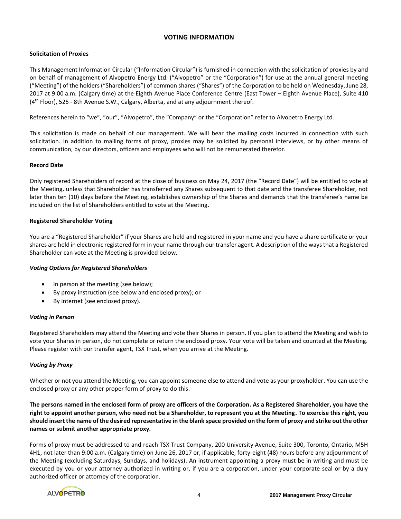# **VOTING INFORMATION**

# **Solicitation of Proxies**

This Management Information Circular ("Information Circular") is furnished in connection with the solicitation of proxies by and on behalf of management of Alvopetro Energy Ltd. ("Alvopetro" or the "Corporation") for use at the annual general meeting ("Meeting") of the holders ("Shareholders") of common shares ("Shares") of the Corporation to be held on Wednesday, June 28, 2017 at 9:00 a.m. (Calgary time) at the Eighth Avenue Place Conference Centre (East Tower – Eighth Avenue Place), Suite 410  $(4<sup>th</sup>$  Floor), 525 - 8th Avenue S.W., Calgary, Alberta, and at any adjournment thereof.

References herein to "we", "our", "Alvopetro", the "Company" or the "Corporation" refer to Alvopetro Energy Ltd.

This solicitation is made on behalf of our management. We will bear the mailing costs incurred in connection with such solicitation. In addition to mailing forms of proxy, proxies may be solicited by personal interviews, or by other means of communication, by our directors, officers and employees who will not be remunerated therefor.

# **Record Date**

Only registered Shareholders of record at the close of business on May 24, 2017 (the "Record Date") will be entitled to vote at the Meeting, unless that Shareholder has transferred any Shares subsequent to that date and the transferee Shareholder, not later than ten (10) days before the Meeting, establishes ownership of the Shares and demands that the transferee's name be included on the list of Shareholders entitled to vote at the Meeting.

## **Registered Shareholder Voting**

You are a "Registered Shareholder" if your Shares are held and registered in your name and you have a share certificate or your shares are held in electronic registered form in your name through our transfer agent. A description of the ways that a Registered Shareholder can vote at the Meeting is provided below.

# *Voting Options for Registered Shareholders*

- In person at the meeting (see below);
- By proxy instruction (see below and enclosed proxy); or
- By internet (see enclosed proxy).

# *Voting in Person*

Registered Shareholders may attend the Meeting and vote their Shares in person. If you plan to attend the Meeting and wish to vote your Shares in person, do not complete or return the enclosed proxy. Your vote will be taken and counted at the Meeting. Please register with our transfer agent, TSX Trust, when you arrive at the Meeting.

# *Voting by Proxy*

Whether or not you attend the Meeting, you can appoint someone else to attend and vote as your proxyholder. You can use the enclosed proxy or any other proper form of proxy to do this.

**The persons named in the enclosed form of proxy are officers of the Corporation. As a Registered Shareholder, you have the right to appoint another person, who need not be a Shareholder, to represent you at the Meeting. To exercise this right, you should insert the name of the desired representative in the blank space provided on the form of proxy and strike out the other names or submit another appropriate proxy.**

Forms of proxy must be addressed to and reach TSX Trust Company, 200 University Avenue, Suite 300, Toronto, Ontario, M5H 4H1, not later than 9:00 a.m. (Calgary time) on June 26, 2017 or, if applicable, forty-eight (48) hours before any adjournment of the Meeting (excluding Saturdays, Sundays, and holidays). An instrument appointing a proxy must be in writing and must be executed by you or your attorney authorized in writing or, if you are a corporation, under your corporate seal or by a duly authorized officer or attorney of the corporation.

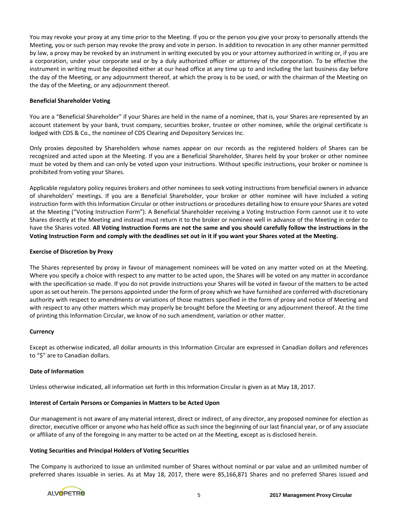You may revoke your proxy at any time prior to the Meeting. If you or the person you give your proxy to personally attends the Meeting, you or such person may revoke the proxy and vote in person. In addition to revocation in any other manner permitted by law, a proxy may be revoked by an instrument in writing executed by you or your attorney authorized in writing or, if you are a corporation, under your corporate seal or by a duly authorized officer or attorney of the corporation. To be effective the instrument in writing must be deposited either at our head office at any time up to and including the last business day before the day of the Meeting, or any adjournment thereof, at which the proxy is to be used, or with the chairman of the Meeting on the day of the Meeting, or any adjournment thereof.

## **Beneficial Shareholder Voting**

You are a "Beneficial Shareholder" if your Shares are held in the name of a nominee, that is, your Shares are represented by an account statement by your bank, trust company, securities broker, trustee or other nominee, while the original certificate is lodged with CDS & Co., the nominee of CDS Clearing and Depository Services Inc.

Only proxies deposited by Shareholders whose names appear on our records as the registered holders of Shares can be recognized and acted upon at the Meeting. If you are a Beneficial Shareholder, Shares held by your broker or other nominee must be voted by them and can only be voted upon your instructions. Without specific instructions, your broker or nominee is prohibited from voting your Shares.

Applicable regulatory policy requires brokers and other nominees to seek voting instructions from beneficial owners in advance of shareholders' meetings. If you are a Beneficial Shareholder, your broker or other nominee will have included a voting instruction form with this Information Circular or other instructions or procedures detailing how to ensure your Shares are voted at the Meeting ("Voting Instruction Form"). A Beneficial Shareholder receiving a Voting Instruction Form cannot use it to vote Shares directly at the Meeting and instead must return it to the broker or nominee well in advance of the Meeting in order to have the Shares voted. **All Voting Instruction Forms are not the same and you should carefully follow the instructions in the Voting Instruction Form and comply with the deadlines set out in it if you want your Shares voted at the Meeting.** 

## **Exercise of Discretion by Proxy**

The Shares represented by proxy in favour of management nominees will be voted on any matter voted on at the Meeting. Where you specify a choice with respect to any matter to be acted upon, the Shares will be voted on any matter in accordance with the specification so made. If you do not provide instructions your Shares will be voted in favour of the matters to be acted upon as set out herein. The persons appointed under the form of proxy which we have furnished are conferred with discretionary authority with respect to amendments or variations of those matters specified in the form of proxy and notice of Meeting and with respect to any other matters which may properly be brought before the Meeting or any adjournment thereof. At the time of printing this Information Circular, we know of no such amendment, variation or other matter.

#### **Currency**

Except as otherwise indicated, all dollar amounts in this Information Circular are expressed in Canadian dollars and references to "\$" are to Canadian dollars.

#### **Date of Information**

Unless otherwise indicated, all information set forth in this Information Circular is given as at May 18, 2017.

#### **Interest of Certain Persons or Companies in Matters to be Acted Upon**

Our management is not aware of any material interest, direct or indirect, of any director, any proposed nominee for election as director, executive officer or anyone who has held office as such since the beginning of our last financial year, or of any associate or affiliate of any of the foregoing in any matter to be acted on at the Meeting, except as is disclosed herein.

#### **Voting Securities and Principal Holders of Voting Securities**

The Company is authorized to issue an unlimited number of Shares without nominal or par value and an unlimited number of preferred shares issuable in series. As at May 18, 2017, there were 85,166,871 Shares and no preferred Shares issued and

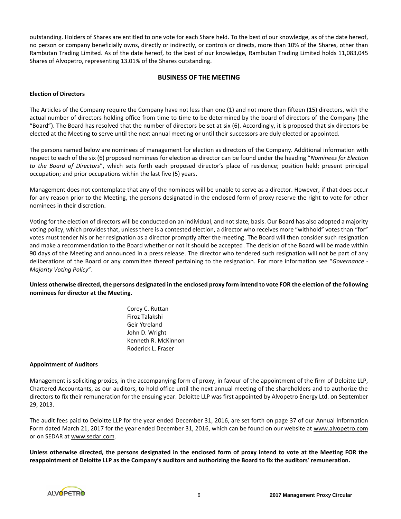outstanding. Holders of Shares are entitled to one vote for each Share held. To the best of our knowledge, as of the date hereof, no person or company beneficially owns, directly or indirectly, or controls or directs, more than 10% of the Shares, other than Rambutan Trading Limited. As of the date hereof, to the best of our knowledge, Rambutan Trading Limited holds 11,083,045 Shares of Alvopetro, representing 13.01% of the Shares outstanding.

## **BUSINESS OF THE MEETING**

## **Election of Directors**

The Articles of the Company require the Company have not less than one (1) and not more than fifteen (15) directors, with the actual number of directors holding office from time to time to be determined by the board of directors of the Company (the "Board"). The Board has resolved that the number of directors be set at six (6). Accordingly, it is proposed that six directors be elected at the Meeting to serve until the next annual meeting or until their successors are duly elected or appointed.

The persons named below are nominees of management for election as directors of the Company. Additional information with respect to each of the six (6) proposed nominees for election as director can be found under the heading "*Nominees for Election to the Board of Directors*", which sets forth each proposed director's place of residence; position held; present principal occupation; and prior occupations within the last five (5) years.

Management does not contemplate that any of the nominees will be unable to serve as a director. However, if that does occur for any reason prior to the Meeting, the persons designated in the enclosed form of proxy reserve the right to vote for other nominees in their discretion.

Voting for the election of directors will be conducted on an individual, and not slate, basis. Our Board has also adopted a majority voting policy, which provides that, unless there is a contested election, a director who receives more "withhold" votes than "for" votes must tender his or her resignation as a director promptly after the meeting. The Board will then consider such resignation and make a recommendation to the Board whether or not it should be accepted. The decision of the Board will be made within 90 days of the Meeting and announced in a press release. The director who tendered such resignation will not be part of any deliberations of the Board or any committee thereof pertaining to the resignation. For more information see "*Governance - Majority Voting Policy*".

**Unless otherwise directed, the persons designated in the enclosed proxy form intend to vote FOR the election of the following nominees for director at the Meeting.**

> Corey C. Ruttan Firoz Talakshi Geir Ytreland John D. Wright Kenneth R. McKinnon Roderick L. Fraser

#### **Appointment of Auditors**

Management is soliciting proxies, in the accompanying form of proxy, in favour of the appointment of the firm of Deloitte LLP, Chartered Accountants, as our auditors, to hold office until the next annual meeting of the shareholders and to authorize the directors to fix their remuneration for the ensuing year. Deloitte LLP was first appointed by Alvopetro Energy Ltd. on September 29, 2013.

The audit fees paid to Deloitte LLP for the year ended December 31, 2016, are set forth on page 37 of our Annual Information Form dated March 21, 2017 for the year ended December 31, 2016, which can be found on our website at www.alvopetro.com or on SEDAR at www.sedar.com.

**Unless otherwise directed, the persons designated in the enclosed form of proxy intend to vote at the Meeting FOR the reappointment of Deloitte LLP as the Company's auditors and authorizing the Board to fix the auditors' remuneration.**

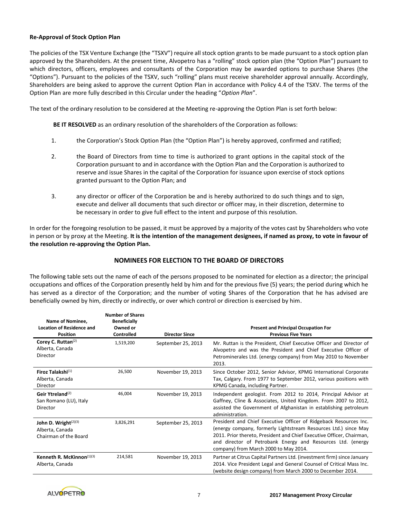## **Re-Approval of Stock Option Plan**

The policies of the TSX Venture Exchange (the "TSXV") require all stock option grants to be made pursuant to a stock option plan approved by the Shareholders. At the present time, Alvopetro has a "rolling" stock option plan (the "Option Plan") pursuant to which directors, officers, employees and consultants of the Corporation may be awarded options to purchase Shares (the "Options"). Pursuant to the policies of the TSXV, such "rolling" plans must receive shareholder approval annually. Accordingly, Shareholders are being asked to approve the current Option Plan in accordance with Policy 4.4 of the TSXV. The terms of the Option Plan are more fully described in this Circular under the heading "*Option Plan*".

The text of the ordinary resolution to be considered at the Meeting re-approving the Option Plan is set forth below:

**BE IT RESOLVED** as an ordinary resolution of the shareholders of the Corporation as follows:

- 1. the Corporation's Stock Option Plan (the "Option Plan") is hereby approved, confirmed and ratified;
- 2. the Board of Directors from time to time is authorized to grant options in the capital stock of the Corporation pursuant to and in accordance with the Option Plan and the Corporation is authorized to reserve and issue Shares in the capital of the Corporation for issuance upon exercise of stock options granted pursuant to the Option Plan; and
- 3. any director or officer of the Corporation be and is hereby authorized to do such things and to sign, execute and deliver all documents that such director or officer may, in their discretion, determine to be necessary in order to give full effect to the intent and purpose of this resolution.

In order for the foregoing resolution to be passed, it must be approved by a majority of the votes cast by Shareholders who vote in person or by proxy at the Meeting. **It is the intention of the management designees, if named as proxy, to vote in favour of the resolution re-approving the Option Plan.**

# **NOMINEES FOR ELECTION TO THE BOARD OF DIRECTORS**

The following table sets out the name of each of the persons proposed to be nominated for election as a director; the principal occupations and offices of the Corporation presently held by him and for the previous five (5) years; the period during which he has served as a director of the Corporation; and the number of voting Shares of the Corporation that he has advised are beneficially owned by him, directly or indirectly, or over which control or direction is exercised by him.

|                                                                     | <b>Number of Shares</b> |                       |                                                                                                                                                                                                                                                                                                                       |
|---------------------------------------------------------------------|-------------------------|-----------------------|-----------------------------------------------------------------------------------------------------------------------------------------------------------------------------------------------------------------------------------------------------------------------------------------------------------------------|
| Name of Nominee.                                                    | <b>Beneficially</b>     |                       |                                                                                                                                                                                                                                                                                                                       |
| <b>Location of Residence and</b>                                    | Owned or                |                       | <b>Present and Principal Occupation For</b>                                                                                                                                                                                                                                                                           |
| <b>Position</b>                                                     | Controlled              | <b>Director Since</b> | <b>Previous Five Years</b>                                                                                                                                                                                                                                                                                            |
| Corey C. Ruttan <sup>(2)</sup><br>Alberta, Canada<br>Director       | 1,519,200               | September 25, 2013    | Mr. Ruttan is the President, Chief Executive Officer and Director of<br>Alvopetro and was the President and Chief Executive Officer of<br>Petrominerales Ltd. (energy company) from May 2010 to November                                                                                                              |
|                                                                     |                         |                       | 2013.                                                                                                                                                                                                                                                                                                                 |
| Firoz Talakshi(1)<br>Alberta, Canada<br>Director                    | 26,500                  | November 19, 2013     | Since October 2012, Senior Advisor, KPMG International Corporate<br>Tax, Calgary. From 1977 to September 2012, various positions with<br>KPMG Canada, including Partner.                                                                                                                                              |
| Geir Ytreland <sup>(2)</sup><br>San Romano (LU), Italy<br>Director  | 46.004                  | November 19, 2013     | Independent geologist. From 2012 to 2014, Principal Advisor at<br>Gaffney, Cline & Associates, United Kingdom. From 2007 to 2012,<br>assisted the Government of Afghanistan in establishing petroleum<br>administration.                                                                                              |
| John D. Wright $(2)(3)$<br>Alberta, Canada<br>Chairman of the Board | 3,826,291               | September 25, 2013    | President and Chief Executive Officer of Ridgeback Resources Inc.<br>(energy company, formerly Lightstream Resources Ltd.) since May<br>2011. Prior thereto, President and Chief Executive Officer, Chairman,<br>and director of Petrobank Energy and Resources Ltd. (energy<br>company) from March 2000 to May 2014. |
| Kenneth R. McKinnon $(1)(3)$<br>Alberta, Canada                     | 214,581                 | November 19, 2013     | Partner at Citrus Capital Partners Ltd. (investment firm) since January<br>2014. Vice President Legal and General Counsel of Critical Mass Inc.<br>(website design company) from March 2000 to December 2014.                                                                                                         |

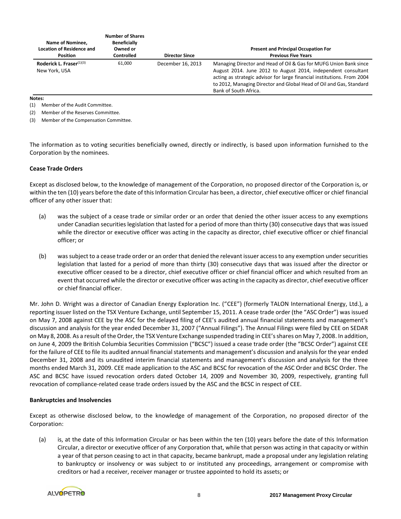| Name of Nominee.<br><b>Location of Residence and</b><br><b>Position</b> | <b>Number of Shares</b><br><b>Beneficially</b><br>Owned or<br><b>Controlled</b> | <b>Director Since</b> | <b>Present and Principal Occupation For</b><br><b>Previous Five Years</b>                                                                                                                                                                                                                                     |
|-------------------------------------------------------------------------|---------------------------------------------------------------------------------|-----------------------|---------------------------------------------------------------------------------------------------------------------------------------------------------------------------------------------------------------------------------------------------------------------------------------------------------------|
| Roderick L. Fraser $(1)(3)$<br>New York, USA                            | 61.000                                                                          | December 16, 2013     | Managing Director and Head of Oil & Gas for MUFG Union Bank since<br>August 2014. June 2012 to August 2014, independent consultant<br>acting as strategic advisor for large financial institutions. From 2004<br>to 2012, Managing Director and Global Head of Oil and Gas, Standard<br>Bank of South Africa. |

#### **Notes:**

(1) Member of the Audit Committee.

(2) Member of the Reserves Committee.

(3) Member of the Compensation Committee.

The information as to voting securities beneficially owned, directly or indirectly, is based upon information furnished to the Corporation by the nominees.

#### **Cease Trade Orders**

Except as disclosed below, to the knowledge of management of the Corporation, no proposed director of the Corporation is, or within the ten (10) years before the date of this Information Circular has been, a director, chief executive officer or chief financial officer of any other issuer that:

- (a) was the subject of a cease trade or similar order or an order that denied the other issuer access to any exemptions under Canadian securities legislation that lasted for a period of more than thirty (30) consecutive days that was issued while the director or executive officer was acting in the capacity as director, chief executive officer or chief financial officer; or
- (b) was subject to a cease trade order or an order that denied the relevant issuer access to any exemption under securities legislation that lasted for a period of more than thirty (30) consecutive days that was issued after the director or executive officer ceased to be a director, chief executive officer or chief financial officer and which resulted from an event that occurred while the director or executive officer was acting in the capacity as director, chief executive officer or chief financial officer.

Mr. John D. Wright was a director of Canadian Energy Exploration Inc. ("CEE") (formerly TALON International Energy, Ltd.), a reporting issuer listed on the TSX Venture Exchange, until September 15, 2011. A cease trade order (the "ASC Order") was issued on May 7, 2008 against CEE by the ASC for the delayed filing of CEE's audited annual financial statements and management's discussion and analysis for the year ended December 31, 2007 ("Annual Filings"). The Annual Filings were filed by CEE on SEDAR on May 8, 2008. As a result of the Order, the TSX Venture Exchange suspended trading in CEE's shares on May 7, 2008. In addition, on June 4, 2009 the British Columbia Securities Commission ("BCSC") issued a cease trade order (the "BCSC Order") against CEE for the failure of CEE to file its audited annual financial statements and management's discussion and analysis for the year ended December 31, 2008 and its unaudited interim financial statements and management's discussion and analysis for the three months ended March 31, 2009. CEE made application to the ASC and BCSC for revocation of the ASC Order and BCSC Order. The ASC and BCSC have issued revocation orders dated October 14, 2009 and November 30, 2009, respectively, granting full revocation of compliance-related cease trade orders issued by the ASC and the BCSC in respect of CEE.

#### **Bankruptcies and Insolvencies**

Except as otherwise disclosed below, to the knowledge of management of the Corporation, no proposed director of the Corporation:

(a) is, at the date of this Information Circular or has been within the ten (10) years before the date of this Information Circular, a director or executive officer of any Corporation that, while that person was acting in that capacity or within a year of that person ceasing to act in that capacity, became bankrupt, made a proposal under any legislation relating to bankruptcy or insolvency or was subject to or instituted any proceedings, arrangement or compromise with creditors or had a receiver, receiver manager or trustee appointed to hold its assets; or

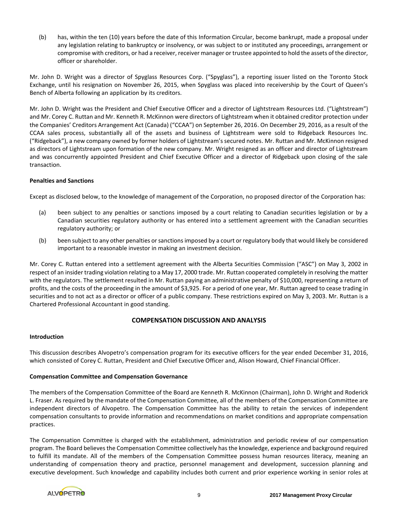(b) has, within the ten (10) years before the date of this Information Circular, become bankrupt, made a proposal under any legislation relating to bankruptcy or insolvency, or was subject to or instituted any proceedings, arrangement or compromise with creditors, or had a receiver, receiver manager or trustee appointed to hold the assets of the director, officer or shareholder.

Mr. John D. Wright was a director of Spyglass Resources Corp. ("Spyglass"), a reporting issuer listed on the Toronto Stock Exchange, until his resignation on November 26, 2015, when Spyglass was placed into receivership by the Court of Queen's Bench of Alberta following an application by its creditors.

Mr. John D. Wright was the President and Chief Executive Officer and a director of Lightstream Resources Ltd. ("Lightstream") and Mr. Corey C. Ruttan and Mr. Kenneth R. McKinnon were directors of Lightstream when it obtained creditor protection under the Companies' Creditors Arrangement Act (Canada) ("CCAA") on September 26, 2016. On December 29, 2016, as a result of the CCAA sales process, substantially all of the assets and business of Lightstream were sold to Ridgeback Resources Inc. ("Ridgeback"), a new company owned by former holders of Lightstream's secured notes. Mr. Ruttan and Mr. McKinnon resigned as directors of Lightstream upon formation of the new company. Mr. Wright resigned as an officer and director of Lightstream and was concurrently appointed President and Chief Executive Officer and a director of Ridgeback upon closing of the sale transaction.

## **Penalties and Sanctions**

Except as disclosed below, to the knowledge of management of the Corporation, no proposed director of the Corporation has:

- (a) been subject to any penalties or sanctions imposed by a court relating to Canadian securities legislation or by a Canadian securities regulatory authority or has entered into a settlement agreement with the Canadian securities regulatory authority; or
- (b) been subject to any other penalties or sanctions imposed by a court or regulatory body that would likely be considered important to a reasonable investor in making an investment decision.

Mr. Corey C. Ruttan entered into a settlement agreement with the Alberta Securities Commission ("ASC") on May 3, 2002 in respect of an insider trading violation relating to a May 17, 2000 trade. Mr. Ruttan cooperated completely in resolving the matter with the regulators. The settlement resulted in Mr. Ruttan paying an administrative penalty of \$10,000, representing a return of profits, and the costs of the proceeding in the amount of \$3,925. For a period of one year, Mr. Ruttan agreed to cease trading in securities and to not act as a director or officer of a public company. These restrictions expired on May 3, 2003. Mr. Ruttan is a Chartered Professional Accountant in good standing.

# **COMPENSATION DISCUSSION AND ANALYSIS**

#### **Introduction**

This discussion describes Alvopetro's compensation program for its executive officers for the year ended December 31, 2016, which consisted of Corey C. Ruttan, President and Chief Executive Officer and, Alison Howard, Chief Financial Officer.

# **Compensation Committee and Compensation Governance**

The members of the Compensation Committee of the Board are Kenneth R. McKinnon (Chairman), John D. Wright and Roderick L. Fraser. As required by the mandate of the Compensation Committee, all of the members of the Compensation Committee are independent directors of Alvopetro. The Compensation Committee has the ability to retain the services of independent compensation consultants to provide information and recommendations on market conditions and appropriate compensation practices.

The Compensation Committee is charged with the establishment, administration and periodic review of our compensation program. The Board believes the Compensation Committee collectively has the knowledge, experience and background required to fulfill its mandate. All of the members of the Compensation Committee possess human resources literacy, meaning an understanding of compensation theory and practice, personnel management and development, succession planning and executive development. Such knowledge and capability includes both current and prior experience working in senior roles at

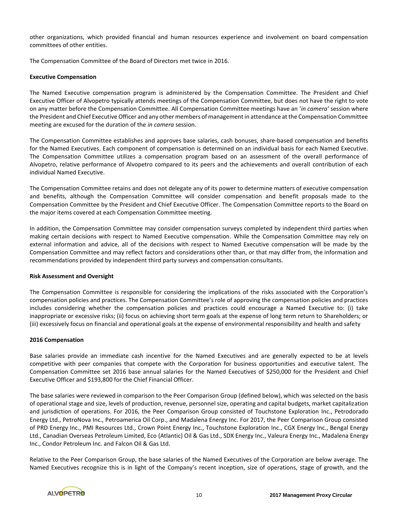other organizations, which provided financial and human resources experience and involvement on board compensation committees of other entities.

The Compensation Committee of the Board of Directors met twice in 2016.

## **Executive Compensation**

The Named Executive compensation program is administered by the Compensation Committee. The President and Chief Executive Officer of Alvopetro typically attends meetings of the Compensation Committee, but does not have the right to vote on any matter before the Compensation Committee. All Compensation Committee meetings have an '*in camera'* session where the President and Chief Executive Officer and any other members of management in attendance at the Compensation Committee meeting are excused for the duration of the *in camera* session.

The Compensation Committee establishes and approves base salaries, cash bonuses, share-based compensation and benefits for the Named Executives. Each component of compensation is determined on an individual basis for each Named Executive. The Compensation Committee utilizes a compensation program based on an assessment of the overall performance of Alvopetro, relative performance of Alvopetro compared to its peers and the achievements and overall contribution of each individual Named Executive.

The Compensation Committee retains and does not delegate any of its power to determine matters of executive compensation and benefits, although the Compensation Committee will consider compensation and benefit proposals made to the Compensation Committee by the President and Chief Executive Officer. The Compensation Committee reports to the Board on the major items covered at each Compensation Committee meeting.

In addition, the Compensation Committee may consider compensation surveys completed by independent third parties when making certain decisions with respect to Named Executive compensation. While the Compensation Committee may rely on external information and advice, all of the decisions with respect to Named Executive compensation will be made by the Compensation Committee and may reflect factors and considerations other than, or that may differ from, the information and recommendations provided by independent third party surveys and compensation consultants.

#### **Risk Assessment and Oversight**

The Compensation Committee is responsible for considering the implications of the risks associated with the Corporation's compensation policies and practices. The Compensation Committee's role of approving the compensation policies and practices includes considering whether the compensation policies and practices could encourage a Named Executive to: (i) take inappropriate or excessive risks; (ii) focus on achieving short term goals at the expense of long term return to Shareholders; or (iii) excessively focus on financial and operational goals at the expense of environmental responsibility and health and safety

#### **2016 Compensation**

Base salaries provide an immediate cash incentive for the Named Executives and are generally expected to be at levels competitive with peer companies that compete with the Corporation for business opportunities and executive talent. The Compensation Committee set 2016 base annual salaries for the Named Executives of \$250,000 for the President and Chief Executive Officer and \$193,800 for the Chief Financial Officer.

The base salaries were reviewed in comparison to the Peer Comparison Group (defined below), which was selected on the basis of operational stage and size, levels of production, revenue, personnel size, operating and capital budgets, market capitalization and jurisdiction of operations. For 2016, the Peer Comparison Group consisted of Touchstone Exploration Inc., Petrodorado Energy Ltd., PetroNova Inc., Petroamerica Oil Corp., and Madalena Energy Inc. For 2017, the Peer Comparison Group consisted of PRD Energy Inc., PMI Resources Ltd., Crown Point Energy Inc., Touchstone Exploration Inc., CGX Energy Inc., Bengal Energy Ltd., Canadian Overseas Petroleum Limited, Eco (Atlantic) Oil & Gas Ltd., SDX Energy Inc., Valeura Energy Inc., Madalena Energy Inc., Condor Petroleum Inc. and Falcon Oil & Gas Ltd.

Relative to the Peer Comparison Group, the base salaries of the Named Executives of the Corporation are below average. The Named Executives recognize this is in light of the Company's recent inception, size of operations, stage of growth, and the

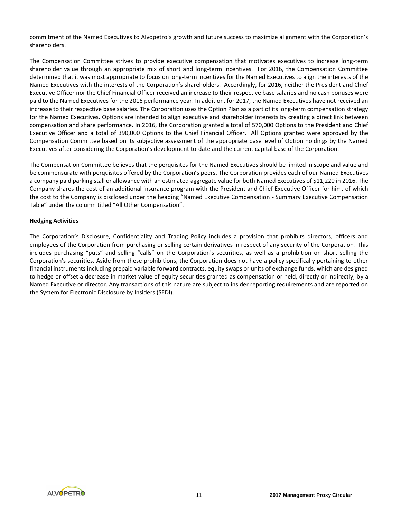commitment of the Named Executives to Alvopetro's growth and future success to maximize alignment with the Corporation's shareholders.

The Compensation Committee strives to provide executive compensation that motivates executives to increase long-term shareholder value through an appropriate mix of short and long-term incentives. For 2016, the Compensation Committee determined that it was most appropriate to focus on long-term incentives for the Named Executives to align the interests of the Named Executives with the interests of the Corporation's shareholders. Accordingly, for 2016, neither the President and Chief Executive Officer nor the Chief Financial Officer received an increase to their respective base salaries and no cash bonuses were paid to the Named Executives for the 2016 performance year. In addition, for 2017, the Named Executives have not received an increase to their respective base salaries. The Corporation uses the Option Plan as a part of its long-term compensation strategy for the Named Executives. Options are intended to align executive and shareholder interests by creating a direct link between compensation and share performance. In 2016, the Corporation granted a total of 570,000 Options to the President and Chief Executive Officer and a total of 390,000 Options to the Chief Financial Officer. All Options granted were approved by the Compensation Committee based on its subjective assessment of the appropriate base level of Option holdings by the Named Executives after considering the Corporation's development to-date and the current capital base of the Corporation.

The Compensation Committee believes that the perquisites for the Named Executives should be limited in scope and value and be commensurate with perquisites offered by the Corporation's peers. The Corporation provides each of our Named Executives a company paid parking stall or allowance with an estimated aggregate value for both Named Executives of \$11,220 in 2016. The Company shares the cost of an additional insurance program with the President and Chief Executive Officer for him, of which the cost to the Company is disclosed under the heading "Named Executive Compensation - Summary Executive Compensation Table" under the column titled "All Other Compensation".

## **Hedging Activities**

The Corporation's Disclosure, Confidentiality and Trading Policy includes a provision that prohibits directors, officers and employees of the Corporation from purchasing or selling certain derivatives in respect of any security of the Corporation. This includes purchasing "puts" and selling "calls" on the Corporation's securities, as well as a prohibition on short selling the Corporation's securities. Aside from these prohibitions, the Corporation does not have a policy specifically pertaining to other financial instruments including prepaid variable forward contracts, equity swaps or units of exchange funds, which are designed to hedge or offset a decrease in market value of equity securities granted as compensation or held, directly or indirectly, by a Named Executive or director. Any transactions of this nature are subject to insider reporting requirements and are reported on the System for Electronic Disclosure by Insiders (SEDI).

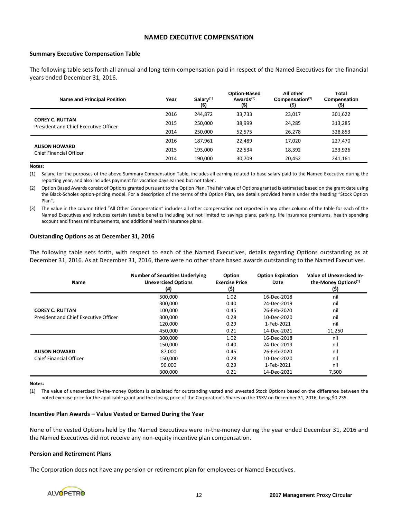## **NAMED EXECUTIVE COMPENSATION**

#### **Summary Executive Compensation Table**

The following table sets forth all annual and long-term compensation paid in respect of the Named Executives for the financial years ended December 31, 2016.

| <b>Name and Principal Position</b>                              | Year | $Salarv^{(1)}$<br>$($ \$) | <b>Option-Based</b><br>Awards $(2)$<br>$($ \$) | All other<br>$Commonisation^{(3)}$<br>$($ \$) | Total<br>Compensation<br>(\$) |
|-----------------------------------------------------------------|------|---------------------------|------------------------------------------------|-----------------------------------------------|-------------------------------|
|                                                                 | 2016 | 244.872                   | 33,733                                         | 23,017                                        | 301,622                       |
| <b>COREY C. RUTTAN</b><br>President and Chief Executive Officer | 2015 | 250.000                   | 38,999                                         | 24,285                                        | 313,285                       |
|                                                                 | 2014 | 250,000                   | 52,575                                         | 26,278                                        | 328,853                       |
| <b>ALISON HOWARD</b><br>Chief Financial Officer                 | 2016 | 187.961                   | 22.489                                         | 17,020                                        | 227,470                       |
|                                                                 | 2015 | 193.000                   | 22,534                                         | 18,392                                        | 233,926                       |
|                                                                 | 2014 | 190.000                   | 30.709                                         | 20,452                                        | 241,161                       |

**Notes:**

(1) Salary, for the purposes of the above Summary Compensation Table, includes all earning related to base salary paid to the Named Executive during the reporting year, and also includes payment for vacation days earned but not taken.

(2) Option Based Awards consist of Options granted pursuant to the Option Plan. The fair value of Options granted is estimated based on the grant date using the Black-Scholes option-pricing model. For a description of the terms of the Option Plan, see details provided herein under the heading "Stock Option Plan".

(3) The value in the column titled "All Other Compensation" includes all other compensation not reported in any other column of the table for each of the Named Executives and includes certain taxable benefits including but not limited to savings plans, parking, life insurance premiums, health spending account and fitness reimbursements, and additional health insurance plans.

#### **Outstanding Options as at December 31, 2016**

The following table sets forth, with respect to each of the Named Executives, details regarding Options outstanding as at December 31, 2016. As at December 31, 2016, there were no other share based awards outstanding to the Named Executives.

| Name                                  | <b>Number of Securities Underlying</b><br><b>Unexercised Options</b><br>(#) | Option<br><b>Exercise Price</b><br>(\$) | <b>Option Expiration</b><br>Date | Value of Unexercised In-<br>the-Money Options <sup>(1)</sup><br>(\$) |
|---------------------------------------|-----------------------------------------------------------------------------|-----------------------------------------|----------------------------------|----------------------------------------------------------------------|
|                                       | 500,000                                                                     | 1.02                                    | 16-Dec-2018                      | nil                                                                  |
|                                       | 300,000                                                                     | 0.40                                    | 24-Dec-2019                      | nil                                                                  |
| <b>COREY C. RUTTAN</b>                | 100,000                                                                     | 0.45                                    | 26-Feb-2020                      | nil                                                                  |
| President and Chief Executive Officer | 300,000                                                                     | 0.28                                    | 10-Dec-2020                      | nil                                                                  |
|                                       | 120,000                                                                     | 0.29                                    | 1-Feb-2021                       | nil                                                                  |
|                                       | 450,000                                                                     | 0.21                                    | 14-Dec-2021                      | 11,250                                                               |
|                                       | 300,000                                                                     | 1.02                                    | 16-Dec-2018                      | nil                                                                  |
|                                       | 150,000                                                                     | 0.40                                    | 24-Dec-2019                      | nil                                                                  |
| <b>ALISON HOWARD</b>                  | 87,000                                                                      | 0.45                                    | 26-Feb-2020                      | nil                                                                  |
| Chief Financial Officer               | 150,000                                                                     | 0.28                                    | 10-Dec-2020                      | nil                                                                  |
|                                       | 90,000                                                                      | 0.29                                    | 1-Feb-2021                       | nil                                                                  |
|                                       | 300,000                                                                     | 0.21                                    | 14-Dec-2021                      | 7,500                                                                |

#### **Notes:**

(1) The value of unexercised in-the-money Options is calculated for outstanding vested and unvested Stock Options based on the difference between the noted exercise price for the applicable grant and the closing price of the Corporation's Shares on the TSXV on December 31, 2016, being \$0.235.

#### **Incentive Plan Awards – Value Vested or Earned During the Year**

None of the vested Options held by the Named Executives were in-the-money during the year ended December 31, 2016 and the Named Executives did not receive any non-equity incentive plan compensation.

### **Pension and Retirement Plans**

The Corporation does not have any pension or retirement plan for employees or Named Executives.

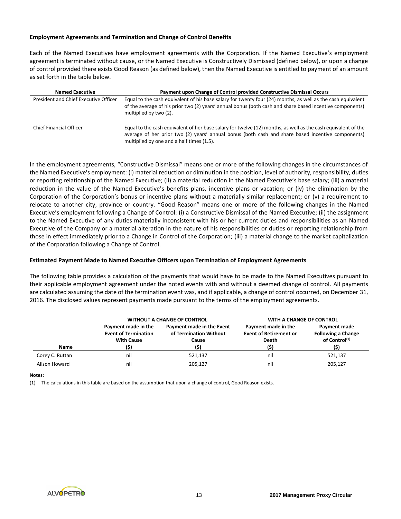## **Employment Agreements and Termination and Change of Control Benefits**

Each of the Named Executives have employment agreements with the Corporation. If the Named Executive's employment agreement is terminated without cause, or the Named Executive is Constructively Dismissed (defined below), or upon a change of control provided there exists Good Reason (as defined below), then the Named Executive is entitled to payment of an amount as set forth in the table below.

| <b>Named Executive</b>                | Payment upon Change of Control provided Constructive Dismissal Occurs                                                                                                                                                                                           |
|---------------------------------------|-----------------------------------------------------------------------------------------------------------------------------------------------------------------------------------------------------------------------------------------------------------------|
| President and Chief Executive Officer | Equal to the cash equivalent of his base salary for twenty four (24) months, as well as the cash equivalent<br>of the average of his prior two (2) years' annual bonus (both cash and share based incentive components)<br>multiplied by two (2).               |
| <b>Chief Financial Officer</b>        | Equal to the cash equivalent of her base salary for twelve (12) months, as well as the cash equivalent of the<br>average of her prior two (2) years' annual bonus (both cash and share based incentive components)<br>multiplied by one and a half times (1.5). |

In the employment agreements, "Constructive Dismissal" means one or more of the following changes in the circumstances of the Named Executive's employment: (i) material reduction or diminution in the position, level of authority, responsibility, duties or reporting relationship of the Named Executive; (ii) a material reduction in the Named Executive's base salary; (iii) a material reduction in the value of the Named Executive's benefits plans, incentive plans or vacation; or (iv) the elimination by the Corporation of the Corporation's bonus or incentive plans without a materially similar replacement; or (v) a requirement to relocate to another city, province or country. "Good Reason" means one or more of the following changes in the Named Executive's employment following a Change of Control: (i) a Constructive Dismissal of the Named Executive; (ii) the assignment to the Named Executive of any duties materially inconsistent with his or her current duties and responsibilities as an Named Executive of the Company or a material alteration in the nature of his responsibilities or duties or reporting relationship from those in effect immediately prior to a Change in Control of the Corporation; (iii) a material change to the market capitalization of the Corporation following a Change of Control.

### **Estimated Payment Made to Named Executive Officers upon Termination of Employment Agreements**

The following table provides a calculation of the payments that would have to be made to the Named Executives pursuant to their applicable employment agreement under the noted events with and without a deemed change of control. All payments are calculated assuming the date of the termination event was, and if applicable, a change of control occurred, on December 31, 2016. The disclosed values represent payments made pursuant to the terms of the employment agreements.

|                 |                                                                         | <b>WITHOUT A CHANGE OF CONTROL</b>                                   | WITH A CHANGE OF CONTROL                                              |                                                                                |
|-----------------|-------------------------------------------------------------------------|----------------------------------------------------------------------|-----------------------------------------------------------------------|--------------------------------------------------------------------------------|
| Name            | Payment made in the<br><b>Event of Termination</b><br><b>With Cause</b> | Payment made in the Event<br>of Termination Without<br>Cause<br>(\$) | Payment made in the<br><b>Event of Retirement or</b><br>Death<br>(\$) | Payment made<br><b>Following a Change</b><br>of Control <sup>(1)</sup><br>(\$) |
| Corey C. Ruttan | nil                                                                     | 521.137                                                              | nil                                                                   | 521,137                                                                        |
| Alison Howard   | nil                                                                     | 205,127                                                              | nil                                                                   | 205.127                                                                        |

#### **Notes:**

(1) The calculations in this table are based on the assumption that upon a change of control, Good Reason exists.

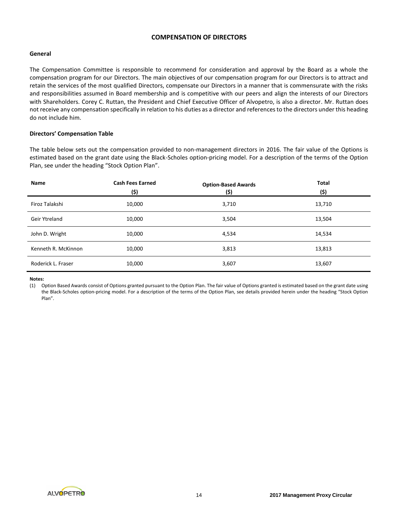# **COMPENSATION OF DIRECTORS**

# **General**

The Compensation Committee is responsible to recommend for consideration and approval by the Board as a whole the compensation program for our Directors. The main objectives of our compensation program for our Directors is to attract and retain the services of the most qualified Directors, compensate our Directors in a manner that is commensurate with the risks and responsibilities assumed in Board membership and is competitive with our peers and align the interests of our Directors with Shareholders. Corey C. Ruttan, the President and Chief Executive Officer of Alvopetro, is also a director. Mr. Ruttan does not receive any compensation specifically in relation to his duties as a director and references to the directors under this heading do not include him.

## **Directors' Compensation Table**

The table below sets out the compensation provided to non-management directors in 2016. The fair value of the Options is estimated based on the grant date using the Black-Scholes option-pricing model. For a description of the terms of the Option Plan, see under the heading "Stock Option Plan".

| Name                | <b>Cash Fees Earned</b><br>(\$) | <b>Option-Based Awards</b><br>(\$) | <b>Total</b><br>(\$) |
|---------------------|---------------------------------|------------------------------------|----------------------|
| Firoz Talakshi      | 10,000                          | 3,710                              | 13,710               |
| Geir Ytreland       | 10,000                          | 3,504                              | 13,504               |
| John D. Wright      | 10,000                          | 4,534                              | 14,534               |
| Kenneth R. McKinnon | 10,000                          | 3,813                              | 13,813               |
| Roderick L. Fraser  | 10,000                          | 3,607                              | 13,607               |

**Notes:**

(1) Option Based Awards consist of Options granted pursuant to the Option Plan. The fair value of Options granted is estimated based on the grant date using the Black-Scholes option-pricing model. For a description of the terms of the Option Plan, see details provided herein under the heading "Stock Option Plan".

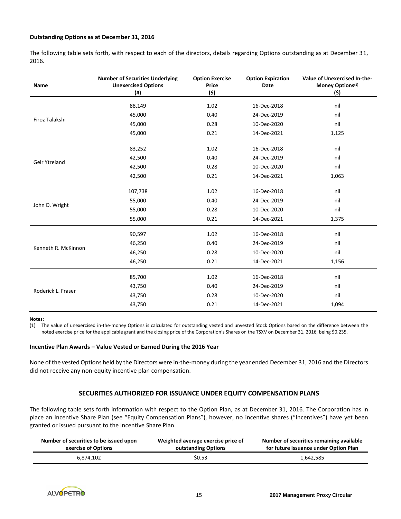## **Outstanding Options as at December 31, 2016**

The following table sets forth, with respect to each of the directors, details regarding Options outstanding as at December 31, 2016.

| <b>Name</b>          | <b>Number of Securities Underlying</b><br><b>Unexercised Options</b><br>$($ #) | <b>Option Exercise</b><br>Price<br>(\$) | <b>Option Expiration</b><br><b>Date</b> | <b>Value of Unexercised In-the-</b><br>Money Options <sup>(1)</sup><br>(\$) |
|----------------------|--------------------------------------------------------------------------------|-----------------------------------------|-----------------------------------------|-----------------------------------------------------------------------------|
|                      | 88,149                                                                         | 1.02                                    | 16-Dec-2018                             | nil                                                                         |
|                      | 45,000                                                                         | 0.40                                    | 24-Dec-2019                             | nil                                                                         |
| Firoz Talakshi       | 45,000                                                                         | 0.28                                    | 10-Dec-2020                             | nil                                                                         |
|                      | 45,000                                                                         | 0.21                                    | 14-Dec-2021                             | 1,125                                                                       |
|                      | 83,252                                                                         | 1.02                                    | 16-Dec-2018                             | nil                                                                         |
|                      | 42,500                                                                         | 0.40                                    | 24-Dec-2019                             | nil                                                                         |
| <b>Geir Ytreland</b> | 42,500                                                                         | 0.28                                    | 10-Dec-2020                             | nil                                                                         |
|                      | 42,500                                                                         | 0.21                                    | 14-Dec-2021                             | 1,063                                                                       |
|                      | 107,738                                                                        | 1.02                                    | 16-Dec-2018                             | nil                                                                         |
|                      | 55,000                                                                         | 0.40                                    | 24-Dec-2019                             | nil                                                                         |
| John D. Wright       | 55,000                                                                         | 0.28                                    | 10-Dec-2020                             | nil                                                                         |
|                      | 55,000                                                                         | 0.21                                    | 14-Dec-2021                             | 1,375                                                                       |
|                      | 90,597                                                                         | 1.02                                    | 16-Dec-2018                             | nil                                                                         |
| Kenneth R. McKinnon  | 46,250                                                                         | 0.40                                    | 24-Dec-2019                             | nil                                                                         |
|                      | 46,250                                                                         | 0.28                                    | 10-Dec-2020                             | nil                                                                         |
|                      | 46,250                                                                         | 0.21                                    | 14-Dec-2021                             | 1,156                                                                       |
|                      | 85,700                                                                         | 1.02                                    | 16-Dec-2018                             | nil                                                                         |
|                      | 43,750                                                                         | 0.40                                    | 24-Dec-2019                             | nil                                                                         |
| Roderick L. Fraser   | 43,750                                                                         | 0.28                                    | 10-Dec-2020                             | nil                                                                         |
|                      | 43,750                                                                         | 0.21                                    | 14-Dec-2021                             | 1,094                                                                       |

#### **Notes:**

(1) The value of unexercised in-the-money Options is calculated for outstanding vested and unvested Stock Options based on the difference between the noted exercise price for the applicable grant and the closing price of the Corporation's Shares on the TSXV on December 31, 2016, being \$0.235.

#### **Incentive Plan Awards – Value Vested or Earned During the 2016 Year**

None of the vested Options held by the Directors were in-the-money during the year ended December 31, 2016 and the Directors did not receive any non-equity incentive plan compensation.

#### **SECURITIES AUTHORIZED FOR ISSUANCE UNDER EQUITY COMPENSATION PLANS**

The following table sets forth information with respect to the Option Plan, as at December 31, 2016. The Corporation has in place an Incentive Share Plan (see "Equity Compensation Plans"), however, no incentive shares ("Incentives") have yet been granted or issued pursuant to the Incentive Share Plan.

| Number of securities to be issued upon | Weighted average exercise price of | Number of securities remaining available |
|----------------------------------------|------------------------------------|------------------------------------------|
| exercise of Options                    | outstanding Options                | for future issuance under Option Plan    |
| 6.874.102                              | \$0.53                             | 1,642,585                                |

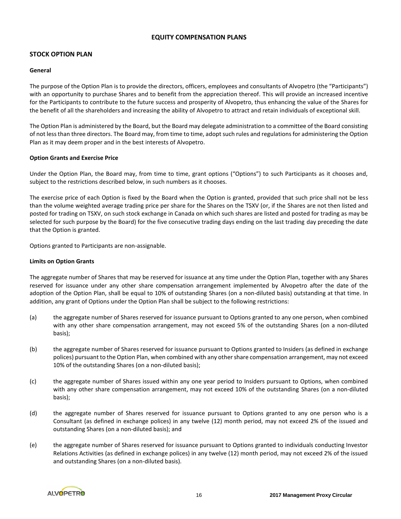# **EQUITY COMPENSATION PLANS**

# **STOCK OPTION PLAN**

## **General**

The purpose of the Option Plan is to provide the directors, officers, employees and consultants of Alvopetro (the "Participants") with an opportunity to purchase Shares and to benefit from the appreciation thereof. This will provide an increased incentive for the Participants to contribute to the future success and prosperity of Alvopetro, thus enhancing the value of the Shares for the benefit of all the shareholders and increasing the ability of Alvopetro to attract and retain individuals of exceptional skill.

The Option Plan is administered by the Board, but the Board may delegate administration to a committee of the Board consisting of not less than three directors. The Board may, from time to time, adopt such rules and regulations for administering the Option Plan as it may deem proper and in the best interests of Alvopetro.

## **Option Grants and Exercise Price**

Under the Option Plan, the Board may, from time to time, grant options ("Options") to such Participants as it chooses and, subject to the restrictions described below, in such numbers as it chooses.

The exercise price of each Option is fixed by the Board when the Option is granted, provided that such price shall not be less than the volume weighted average trading price per share for the Shares on the TSXV (or, if the Shares are not then listed and posted for trading on TSXV, on such stock exchange in Canada on which such shares are listed and posted for trading as may be selected for such purpose by the Board) for the five consecutive trading days ending on the last trading day preceding the date that the Option is granted.

Options granted to Participants are non-assignable.

## **Limits on Option Grants**

The aggregate number of Shares that may be reserved for issuance at any time under the Option Plan, together with any Shares reserved for issuance under any other share compensation arrangement implemented by Alvopetro after the date of the adoption of the Option Plan, shall be equal to 10% of outstanding Shares (on a non-diluted basis) outstanding at that time. In addition, any grant of Options under the Option Plan shall be subject to the following restrictions:

- (a) the aggregate number of Shares reserved for issuance pursuant to Options granted to any one person, when combined with any other share compensation arrangement, may not exceed 5% of the outstanding Shares (on a non-diluted basis);
- (b) the aggregate number of Shares reserved for issuance pursuant to Options granted to Insiders (as defined in exchange polices) pursuant to the Option Plan, when combined with any other share compensation arrangement, may not exceed 10% of the outstanding Shares (on a non-diluted basis);
- (c) the aggregate number of Shares issued within any one year period to Insiders pursuant to Options, when combined with any other share compensation arrangement, may not exceed 10% of the outstanding Shares (on a non-diluted basis);
- (d) the aggregate number of Shares reserved for issuance pursuant to Options granted to any one person who is a Consultant (as defined in exchange polices) in any twelve (12) month period, may not exceed 2% of the issued and outstanding Shares (on a non-diluted basis); and
- (e) the aggregate number of Shares reserved for issuance pursuant to Options granted to individuals conducting Investor Relations Activities (as defined in exchange polices) in any twelve (12) month period, may not exceed 2% of the issued and outstanding Shares (on a non-diluted basis).

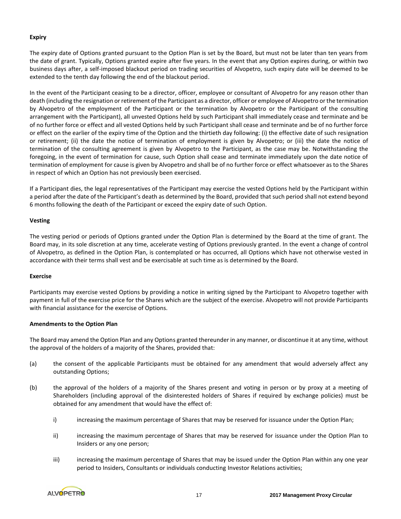# **Expiry**

The expiry date of Options granted pursuant to the Option Plan is set by the Board, but must not be later than ten years from the date of grant. Typically, Options granted expire after five years. In the event that any Option expires during, or within two business days after, a self-imposed blackout period on trading securities of Alvopetro, such expiry date will be deemed to be extended to the tenth day following the end of the blackout period.

In the event of the Participant ceasing to be a director, officer, employee or consultant of Alvopetro for any reason other than death (including the resignation or retirement of the Participant as a director, officer or employee of Alvopetro or the termination by Alvopetro of the employment of the Participant or the termination by Alvopetro or the Participant of the consulting arrangement with the Participant), all unvested Options held by such Participant shall immediately cease and terminate and be of no further force or effect and all vested Options held by such Participant shall cease and terminate and be of no further force or effect on the earlier of the expiry time of the Option and the thirtieth day following: (i) the effective date of such resignation or retirement; (ii) the date the notice of termination of employment is given by Alvopetro; or (iii) the date the notice of termination of the consulting agreement is given by Alvopetro to the Participant, as the case may be. Notwithstanding the foregoing, in the event of termination for cause, such Option shall cease and terminate immediately upon the date notice of termination of employment for cause is given by Alvopetro and shall be of no further force or effect whatsoever as to the Shares in respect of which an Option has not previously been exercised.

If a Participant dies, the legal representatives of the Participant may exercise the vested Options held by the Participant within a period after the date of the Participant's death as determined by the Board, provided that such period shall not extend beyond 6 months following the death of the Participant or exceed the expiry date of such Option.

## **Vesting**

The vesting period or periods of Options granted under the Option Plan is determined by the Board at the time of grant. The Board may, in its sole discretion at any time, accelerate vesting of Options previously granted. In the event a change of control of Alvopetro, as defined in the Option Plan, is contemplated or has occurred, all Options which have not otherwise vested in accordance with their terms shall vest and be exercisable at such time as is determined by the Board.

#### **Exercise**

Participants may exercise vested Options by providing a notice in writing signed by the Participant to Alvopetro together with payment in full of the exercise price for the Shares which are the subject of the exercise. Alvopetro will not provide Participants with financial assistance for the exercise of Options.

#### **Amendments to the Option Plan**

The Board may amend the Option Plan and any Options granted thereunder in any manner, or discontinue it at any time, without the approval of the holders of a majority of the Shares, provided that:

- (a) the consent of the applicable Participants must be obtained for any amendment that would adversely affect any outstanding Options;
- (b) the approval of the holders of a majority of the Shares present and voting in person or by proxy at a meeting of Shareholders (including approval of the disinterested holders of Shares if required by exchange policies) must be obtained for any amendment that would have the effect of:
	- i) increasing the maximum percentage of Shares that may be reserved for issuance under the Option Plan;
	- ii) increasing the maximum percentage of Shares that may be reserved for issuance under the Option Plan to Insiders or any one person;
	- iii) increasing the maximum percentage of Shares that may be issued under the Option Plan within any one year period to Insiders, Consultants or individuals conducting Investor Relations activities;

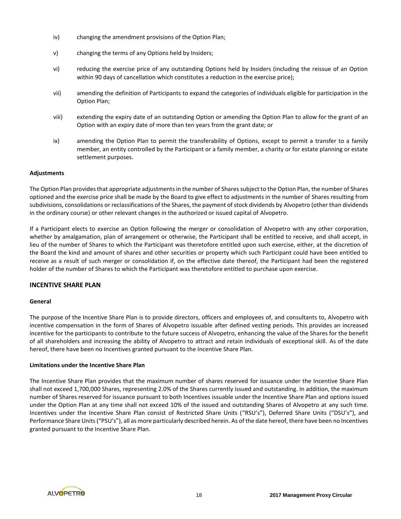- iv) changing the amendment provisions of the Option Plan;
- v) changing the terms of any Options held by Insiders;
- vi) reducing the exercise price of any outstanding Options held by Insiders (including the reissue of an Option within 90 days of cancellation which constitutes a reduction in the exercise price);
- vii) amending the definition of Participants to expand the categories of individuals eligible for participation in the Option Plan;
- viii) extending the expiry date of an outstanding Option or amending the Option Plan to allow for the grant of an Option with an expiry date of more than ten years from the grant date; or
- ix) amending the Option Plan to permit the transferability of Options, except to permit a transfer to a family member, an entity controlled by the Participant or a family member, a charity or for estate planning or estate settlement purposes.

## **Adjustments**

The Option Plan provides that appropriate adjustments in the number of Sharessubject to the Option Plan, the number of Shares optioned and the exercise price shall be made by the Board to give effect to adjustments in the number of Shares resulting from subdivisions, consolidations or reclassifications of the Shares, the payment of stock dividends by Alvopetro (other than dividends in the ordinary course) or other relevant changes in the authorized or issued capital of Alvopetro.

If a Participant elects to exercise an Option following the merger or consolidation of Alvopetro with any other corporation, whether by amalgamation, plan of arrangement or otherwise, the Participant shall be entitled to receive, and shall accept, in lieu of the number of Shares to which the Participant was theretofore entitled upon such exercise, either, at the discretion of the Board the kind and amount of shares and other securities or property which such Participant could have been entitled to receive as a result of such merger or consolidation if, on the effective date thereof, the Participant had been the registered holder of the number of Shares to which the Participant was theretofore entitled to purchase upon exercise.

#### **INCENTIVE SHARE PLAN**

#### **General**

The purpose of the Incentive Share Plan is to provide directors, officers and employees of, and consultants to, Alvopetro with incentive compensation in the form of Shares of Alvopetro issuable after defined vesting periods. This provides an increased incentive for the participants to contribute to the future success of Alvopetro, enhancing the value of the Shares for the benefit of all shareholders and increasing the ability of Alvopetro to attract and retain individuals of exceptional skill. As of the date hereof, there have been no Incentives granted pursuant to the Incentive Share Plan.

#### **Limitations under the Incentive Share Plan**

The Incentive Share Plan provides that the maximum number of shares reserved for issuance under the Incentive Share Plan shall not exceed 1,700,000 Shares, representing 2.0% of the Shares currently issued and outstanding. In addition, the maximum number of Shares reserved for issuance pursuant to both Incentives issuable under the Incentive Share Plan and options issued under the Option Plan at any time shall not exceed 10% of the issued and outstanding Shares of Alvopetro at any such time. Incentives under the Incentive Share Plan consist of Restricted Share Units ("RSU's"), Deferred Share Units ("DSU's"), and Performance Share Units ("PSU's"), all as more particularly described herein. As of the date hereof, there have been no Incentives granted pursuant to the Incentive Share Plan.

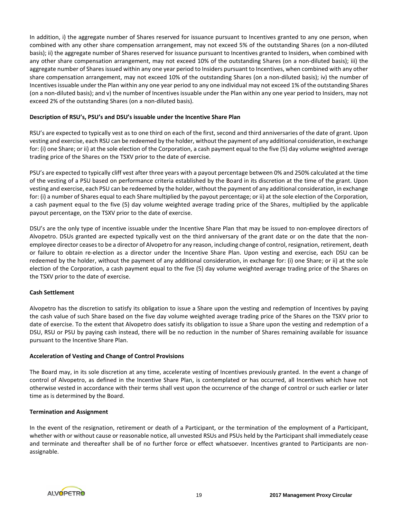In addition, i) the aggregate number of Shares reserved for issuance pursuant to Incentives granted to any one person, when combined with any other share compensation arrangement, may not exceed 5% of the outstanding Shares (on a non-diluted basis); ii) the aggregate number of Shares reserved for issuance pursuant to Incentives granted to Insiders, when combined with any other share compensation arrangement, may not exceed 10% of the outstanding Shares (on a non-diluted basis); iii) the aggregate number of Shares issued within any one year period to Insiders pursuant to Incentives, when combined with any other share compensation arrangement, may not exceed 10% of the outstanding Shares (on a non-diluted basis); iv) the number of Incentives issuable under the Plan within any one year period to any one individual may not exceed 1% of the outstanding Shares (on a non-diluted basis); and v) the number of Incentives issuable under the Plan within any one year period to Insiders, may not exceed 2% of the outstanding Shares (on a non-diluted basis).

## **Description of RSU's, PSU's and DSU's issuable under the Incentive Share Plan**

RSU's are expected to typically vest as to one third on each of the first, second and third anniversaries of the date of grant. Upon vesting and exercise, each RSU can be redeemed by the holder, without the payment of any additional consideration, in exchange for: (i) one Share; or ii) at the sole election of the Corporation, a cash payment equal to the five (5) day volume weighted average trading price of the Shares on the TSXV prior to the date of exercise.

PSU's are expected to typically cliff vest after three years with a payout percentage between 0% and 250% calculated at the time of the vesting of a PSU based on performance criteria established by the Board in its discretion at the time of the grant. Upon vesting and exercise, each PSU can be redeemed by the holder, without the payment of any additional consideration, in exchange for: (i) a number of Shares equal to each Share multiplied by the payout percentage; or ii) at the sole election of the Corporation, a cash payment equal to the five (5) day volume weighted average trading price of the Shares, multiplied by the applicable payout percentage, on the TSXV prior to the date of exercise.

DSU's are the only type of incentive issuable under the Incentive Share Plan that may be issued to non-employee directors of Alvopetro. DSUs granted are expected typically vest on the third anniversary of the grant date or on the date that the nonemployee director ceases to be a director of Alvopetro for any reason, including change of control, resignation, retirement, death or failure to obtain re-election as a director under the Incentive Share Plan. Upon vesting and exercise, each DSU can be redeemed by the holder, without the payment of any additional consideration, in exchange for: (i) one Share; or ii) at the sole election of the Corporation, a cash payment equal to the five (5) day volume weighted average trading price of the Shares on the TSXV prior to the date of exercise.

#### **Cash Settlement**

Alvopetro has the discretion to satisfy its obligation to issue a Share upon the vesting and redemption of Incentives by paying the cash value of such Share based on the five day volume weighted average trading price of the Shares on the TSXV prior to date of exercise. To the extent that Alvopetro does satisfy its obligation to issue a Share upon the vesting and redemption of a DSU, RSU or PSU by paying cash instead, there will be no reduction in the number of Shares remaining available for issuance pursuant to the Incentive Share Plan.

#### **Acceleration of Vesting and Change of Control Provisions**

The Board may, in its sole discretion at any time, accelerate vesting of Incentives previously granted. In the event a change of control of Alvopetro, as defined in the Incentive Share Plan, is contemplated or has occurred, all Incentives which have not otherwise vested in accordance with their terms shall vest upon the occurrence of the change of control or such earlier or later time as is determined by the Board.

#### **Termination and Assignment**

In the event of the resignation, retirement or death of a Participant, or the termination of the employment of a Participant, whether with or without cause or reasonable notice, all unvested RSUs and PSUs held by the Participant shall immediately cease and terminate and thereafter shall be of no further force or effect whatsoever. Incentives granted to Participants are nonassignable.

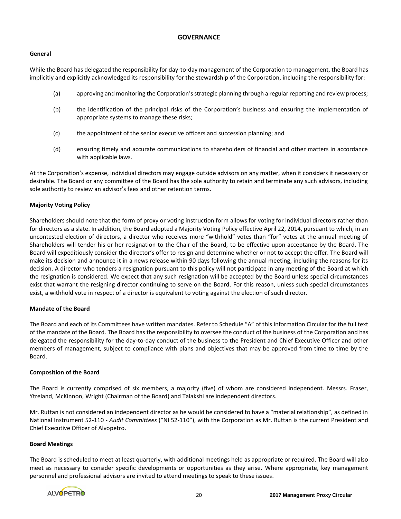# **GOVERNANCE**

## **General**

While the Board has delegated the responsibility for day-to-day management of the Corporation to management, the Board has implicitly and explicitly acknowledged its responsibility for the stewardship of the Corporation, including the responsibility for:

- (a) approving and monitoring the Corporation's strategic planning through a regular reporting and review process;
- (b) the identification of the principal risks of the Corporation's business and ensuring the implementation of appropriate systems to manage these risks;
- (c) the appointment of the senior executive officers and succession planning; and
- (d) ensuring timely and accurate communications to shareholders of financial and other matters in accordance with applicable laws.

At the Corporation's expense, individual directors may engage outside advisors on any matter, when it considers it necessary or desirable. The Board or any committee of the Board has the sole authority to retain and terminate any such advisors, including sole authority to review an advisor's fees and other retention terms.

# **Majority Voting Policy**

Shareholders should note that the form of proxy or voting instruction form allows for voting for individual directors rather than for directors as a slate. In addition, the Board adopted a Majority Voting Policy effective April 22, 2014, pursuant to which, in an uncontested election of directors, a director who receives more "withhold" votes than "for" votes at the annual meeting of Shareholders will tender his or her resignation to the Chair of the Board, to be effective upon acceptance by the Board. The Board will expeditiously consider the director's offer to resign and determine whether or not to accept the offer. The Board will make its decision and announce it in a news release within 90 days following the annual meeting, including the reasons for its decision. A director who tenders a resignation pursuant to this policy will not participate in any meeting of the Board at which the resignation is considered. We expect that any such resignation will be accepted by the Board unless special circumstances exist that warrant the resigning director continuing to serve on the Board. For this reason, unless such special circumstances exist, a withhold vote in respect of a director is equivalent to voting against the election of such director.

# **Mandate of the Board**

The Board and each of its Committees have written mandates. Refer to Schedule "A" of this Information Circular for the full text of the mandate of the Board. The Board has the responsibility to oversee the conduct of the business of the Corporation and has delegated the responsibility for the day-to-day conduct of the business to the President and Chief Executive Officer and other members of management, subject to compliance with plans and objectives that may be approved from time to time by the Board.

#### **Composition of the Board**

The Board is currently comprised of six members, a majority (five) of whom are considered independent. Messrs. Fraser, Ytreland, McKinnon, Wright (Chairman of the Board) and Talakshi are independent directors.

Mr. Ruttan is not considered an independent director as he would be considered to have a "material relationship", as defined in National Instrument 52-110 - *Audit Committees* ("NI 52-110"), with the Corporation as Mr. Ruttan is the current President and Chief Executive Officer of Alvopetro.

#### **Board Meetings**

The Board is scheduled to meet at least quarterly, with additional meetings held as appropriate or required. The Board will also meet as necessary to consider specific developments or opportunities as they arise. Where appropriate, key management personnel and professional advisors are invited to attend meetings to speak to these issues.

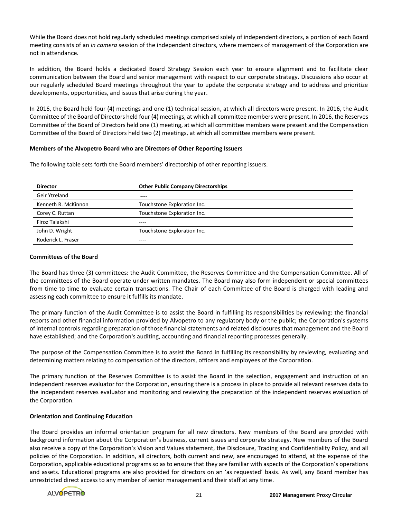While the Board does not hold regularly scheduled meetings comprised solely of independent directors, a portion of each Board meeting consists of an *in camera* session of the independent directors, where members of management of the Corporation are not in attendance.

In addition, the Board holds a dedicated Board Strategy Session each year to ensure alignment and to facilitate clear communication between the Board and senior management with respect to our corporate strategy. Discussions also occur at our regularly scheduled Board meetings throughout the year to update the corporate strategy and to address and prioritize developments, opportunities, and issues that arise during the year.

In 2016, the Board held four (4) meetings and one (1) technical session, at which all directors were present. In 2016, the Audit Committee of the Board of Directors held four (4) meetings, at which all committee members were present. In 2016, the Reserves Committee of the Board of Directors held one (1) meeting, at which all committee members were present and the Compensation Committee of the Board of Directors held two (2) meetings, at which all committee members were present.

## **Members of the Alvopetro Board who are Directors of Other Reporting Issuers**

The following table sets forth the Board members' directorship of other reporting issuers.

| <b>Director</b>     | <b>Other Public Company Directorships</b> |
|---------------------|-------------------------------------------|
| Geir Ytreland       | ----                                      |
| Kenneth R. McKinnon | Touchstone Exploration Inc.               |
| Corey C. Ruttan     | Touchstone Exploration Inc.               |
| Firoz Talakshi      | ----                                      |
| John D. Wright      | Touchstone Exploration Inc.               |
| Roderick L. Fraser  |                                           |

#### **Committees of the Board**

The Board has three (3) committees: the Audit Committee, the Reserves Committee and the Compensation Committee. All of the committees of the Board operate under written mandates. The Board may also form independent or special committees from time to time to evaluate certain transactions. The Chair of each Committee of the Board is charged with leading and assessing each committee to ensure it fulfills its mandate.

The primary function of the Audit Committee is to assist the Board in fulfilling its responsibilities by reviewing: the financial reports and other financial information provided by Alvopetro to any regulatory body or the public; the Corporation's systems of internal controls regarding preparation of those financial statements and related disclosures that management and the Board have established; and the Corporation's auditing, accounting and financial reporting processes generally.

The purpose of the Compensation Committee is to assist the Board in fulfilling its responsibility by reviewing, evaluating and determining matters relating to compensation of the directors, officers and employees of the Corporation.

The primary function of the Reserves Committee is to assist the Board in the selection, engagement and instruction of an independent reserves evaluator for the Corporation, ensuring there is a process in place to provide all relevant reserves data to the independent reserves evaluator and monitoring and reviewing the preparation of the independent reserves evaluation of the Corporation.

#### **Orientation and Continuing Education**

The Board provides an informal orientation program for all new directors. New members of the Board are provided with background information about the Corporation's business, current issues and corporate strategy. New members of the Board also receive a copy of the Corporation's Vision and Values statement, the Disclosure, Trading and Confidentiality Policy, and all policies of the Corporation. In addition, all directors, both current and new, are encouraged to attend, at the expense of the Corporation, applicable educational programs so as to ensure that they are familiar with aspects of the Corporation's operations and assets. Educational programs are also provided for directors on an 'as requested' basis. As well, any Board member has unrestricted direct access to any member of senior management and their staff at any time.

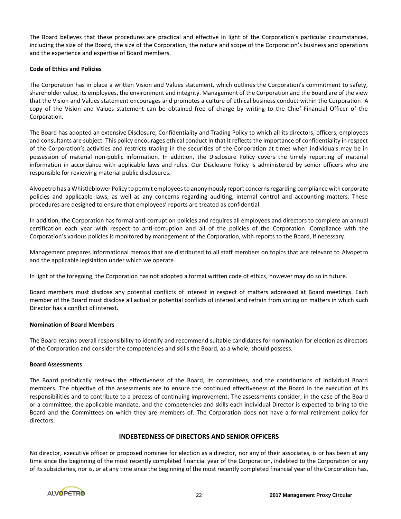The Board believes that these procedures are practical and effective in light of the Corporation's particular circumstances, including the size of the Board, the size of the Corporation, the nature and scope of the Corporation's business and operations and the experience and expertise of Board members.

## **Code of Ethics and Policies**

The Corporation has in place a written Vision and Values statement, which outlines the Corporation's commitment to safety, shareholder value, its employees, the environment and integrity. Management of the Corporation and the Board are of the view that the Vision and Values statement encourages and promotes a culture of ethical business conduct within the Corporation. A copy of the Vision and Values statement can be obtained free of charge by writing to the Chief Financial Officer of the Corporation.

The Board has adopted an extensive Disclosure, Confidentiality and Trading Policy to which all its directors, officers, employees and consultants are subject. This policy encourages ethical conduct in that it reflects the importance of confidentiality in respect of the Corporation's activities and restricts trading in the securities of the Corporation at times when individuals may be in possession of material non-public information. In addition, the Disclosure Policy covers the timely reporting of material information in accordance with applicable laws and rules. Our Disclosure Policy is administered by senior officers who are responsible for reviewing material public disclosures.

Alvopetro has a Whistleblower Policy to permit employees to anonymously report concerns regarding compliance with corporate policies and applicable laws, as well as any concerns regarding auditing, internal control and accounting matters. These procedures are designed to ensure that employees' reports are treated as confidential.

In addition, the Corporation has formal anti-corruption policies and requires all employees and directors to complete an annual certification each year with respect to anti-corruption and all of the policies of the Corporation. Compliance with the Corporation's various policies is monitored by management of the Corporation, with reports to the Board, if necessary.

Management prepares informational memos that are distributed to all staff members on topics that are relevant to Alvopetro and the applicable legislation under which we operate.

In light of the foregoing, the Corporation has not adopted a formal written code of ethics, however may do so in future.

Board members must disclose any potential conflicts of interest in respect of matters addressed at Board meetings. Each member of the Board must disclose all actual or potential conflicts of interest and refrain from voting on matters in which such Director has a conflict of interest.

#### **Nomination of Board Members**

The Board retains overall responsibility to identify and recommend suitable candidates for nomination for election as directors of the Corporation and consider the competencies and skills the Board, as a whole, should possess.

#### **Board Assessments**

The Board periodically reviews the effectiveness of the Board, its committees, and the contributions of individual Board members. The objective of the assessments are to ensure the continued effectiveness of the Board in the execution of its responsibilities and to contribute to a process of continuing improvement. The assessments consider, in the case of the Board or a committee, the applicable mandate, and the competencies and skills each individual Director is expected to bring to the Board and the Committees on which they are members of. The Corporation does not have a formal retirement policy for directors.

#### **INDEBTEDNESS OF DIRECTORS AND SENIOR OFFICERS**

No director, executive officer or proposed nominee for election as a director, nor any of their associates, is or has been at any time since the beginning of the most recently completed financial year of the Corporation, indebted to the Corporation or any of its subsidiaries, nor is, or at any time since the beginning of the most recently completed financial year of the Corporation has,

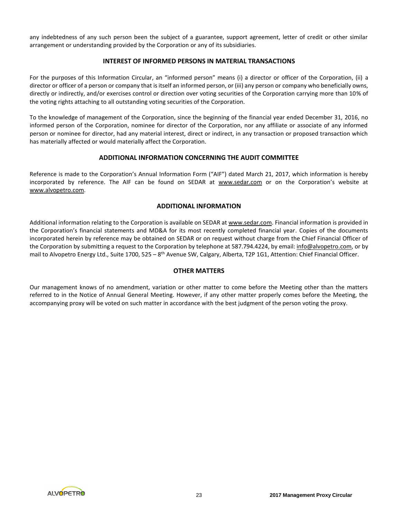any indebtedness of any such person been the subject of a guarantee, support agreement, letter of credit or other similar arrangement or understanding provided by the Corporation or any of its subsidiaries.

# **INTEREST OF INFORMED PERSONS IN MATERIAL TRANSACTIONS**

For the purposes of this Information Circular, an "informed person" means (i) a director or officer of the Corporation, (ii) a director or officer of a person or company that is itself an informed person, or (iii) any person or company who beneficially owns, directly or indirectly, and/or exercises control or direction over voting securities of the Corporation carrying more than 10% of the voting rights attaching to all outstanding voting securities of the Corporation.

To the knowledge of management of the Corporation, since the beginning of the financial year ended December 31, 2016, no informed person of the Corporation, nominee for director of the Corporation, nor any affiliate or associate of any informed person or nominee for director, had any material interest, direct or indirect, in any transaction or proposed transaction which has materially affected or would materially affect the Corporation.

# **ADDITIONAL INFORMATION CONCERNING THE AUDIT COMMITTEE**

Reference is made to the Corporation's Annual Information Form ("AIF") dated March 21, 2017, which information is hereby incorporated by reference. The AIF can be found on SEDAR at www.sedar.com or on the Corporation's website at www.alvopetro.com.

# **ADDITIONAL INFORMATION**

Additional information relating to the Corporation is available on SEDAR at www.sedar.com. Financial information is provided in the Corporation's financial statements and MD&A for its most recently completed financial year. Copies of the documents incorporated herein by reference may be obtained on SEDAR or on request without charge from the Chief Financial Officer of the Corporation by submitting a request to the Corporation by telephone at 587.794.4224, by email: info@alvopetro.com, or by mail to Alvopetro Energy Ltd., Suite 1700, 525 – 8<sup>th</sup> Avenue SW, Calgary, Alberta, T2P 1G1, Attention: Chief Financial Officer.

# **OTHER MATTERS**

Our management knows of no amendment, variation or other matter to come before the Meeting other than the matters referred to in the Notice of Annual General Meeting. However, if any other matter properly comes before the Meeting, the accompanying proxy will be voted on such matter in accordance with the best judgment of the person voting the proxy.

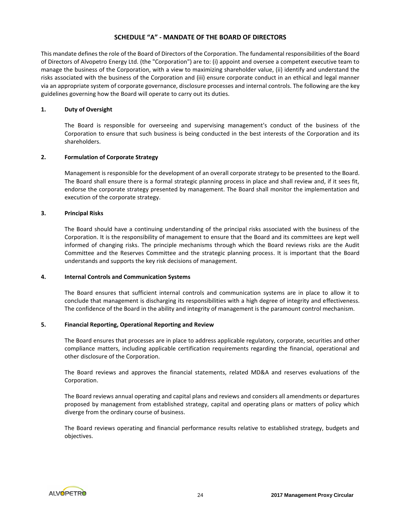# **SCHEDULE "A" - MANDATE OF THE BOARD OF DIRECTORS**

This mandate defines the role of the Board of Directors of the Corporation. The fundamental responsibilities of the Board of Directors of Alvopetro Energy Ltd. (the "Corporation") are to: (i) appoint and oversee a competent executive team to manage the business of the Corporation, with a view to maximizing shareholder value, (ii) identify and understand the risks associated with the business of the Corporation and (iii) ensure corporate conduct in an ethical and legal manner via an appropriate system of corporate governance, disclosure processes and internal controls. The following are the key guidelines governing how the Board will operate to carry out its duties.

## **1. Duty of Oversight**

The Board is responsible for overseeing and supervising management's conduct of the business of the Corporation to ensure that such business is being conducted in the best interests of the Corporation and its shareholders.

## **2. Formulation of Corporate Strategy**

Management is responsible for the development of an overall corporate strategy to be presented to the Board. The Board shall ensure there is a formal strategic planning process in place and shall review and, if it sees fit, endorse the corporate strategy presented by management. The Board shall monitor the implementation and execution of the corporate strategy.

## **3. Principal Risks**

The Board should have a continuing understanding of the principal risks associated with the business of the Corporation. It is the responsibility of management to ensure that the Board and its committees are kept well informed of changing risks. The principle mechanisms through which the Board reviews risks are the Audit Committee and the Reserves Committee and the strategic planning process. It is important that the Board understands and supports the key risk decisions of management.

#### **4. Internal Controls and Communication Systems**

The Board ensures that sufficient internal controls and communication systems are in place to allow it to conclude that management is discharging its responsibilities with a high degree of integrity and effectiveness. The confidence of the Board in the ability and integrity of management is the paramount control mechanism.

## **5. Financial Reporting, Operational Reporting and Review**

The Board ensures that processes are in place to address applicable regulatory, corporate, securities and other compliance matters, including applicable certification requirements regarding the financial, operational and other disclosure of the Corporation.

The Board reviews and approves the financial statements, related MD&A and reserves evaluations of the Corporation.

The Board reviews annual operating and capital plans and reviews and considers all amendments or departures proposed by management from established strategy, capital and operating plans or matters of policy which diverge from the ordinary course of business.

The Board reviews operating and financial performance results relative to established strategy, budgets and objectives.

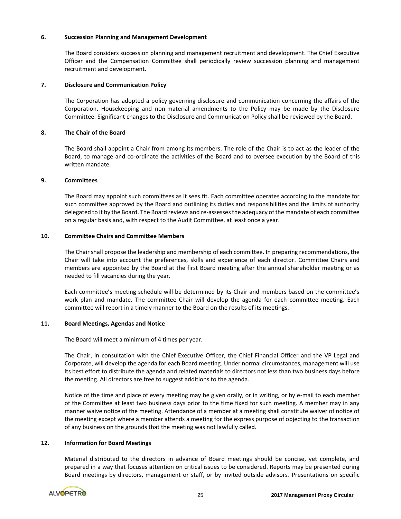## **6. Succession Planning and Management Development**

The Board considers succession planning and management recruitment and development. The Chief Executive Officer and the Compensation Committee shall periodically review succession planning and management recruitment and development.

## **7. Disclosure and Communication Policy**

The Corporation has adopted a policy governing disclosure and communication concerning the affairs of the Corporation. Housekeeping and non-material amendments to the Policy may be made by the Disclosure Committee. Significant changes to the Disclosure and Communication Policy shall be reviewed by the Board.

## **8. The Chair of the Board**

The Board shall appoint a Chair from among its members. The role of the Chair is to act as the leader of the Board, to manage and co-ordinate the activities of the Board and to oversee execution by the Board of this written mandate.

## **9. Committees**

The Board may appoint such committees as it sees fit. Each committee operates according to the mandate for such committee approved by the Board and outlining its duties and responsibilities and the limits of authority delegated to it by the Board. The Board reviews and re-assesses the adequacy of the mandate of each committee on a regular basis and, with respect to the Audit Committee, at least once a year.

## **10. Committee Chairs and Committee Members**

The Chair shall propose the leadership and membership of each committee. In preparing recommendations, the Chair will take into account the preferences, skills and experience of each director. Committee Chairs and members are appointed by the Board at the first Board meeting after the annual shareholder meeting or as needed to fill vacancies during the year.

Each committee's meeting schedule will be determined by its Chair and members based on the committee's work plan and mandate. The committee Chair will develop the agenda for each committee meeting. Each committee will report in a timely manner to the Board on the results of its meetings.

## **11. Board Meetings, Agendas and Notice**

The Board will meet a minimum of 4 times per year.

The Chair, in consultation with the Chief Executive Officer, the Chief Financial Officer and the VP Legal and Corporate, will develop the agenda for each Board meeting. Under normal circumstances, management will use its best effort to distribute the agenda and related materials to directors not less than two business days before the meeting. All directors are free to suggest additions to the agenda.

Notice of the time and place of every meeting may be given orally, or in writing, or by e-mail to each member of the Committee at least two business days prior to the time fixed for such meeting. A member may in any manner waive notice of the meeting. Attendance of a member at a meeting shall constitute waiver of notice of the meeting except where a member attends a meeting for the express purpose of objecting to the transaction of any business on the grounds that the meeting was not lawfully called.

#### **12. Information for Board Meetings**

Material distributed to the directors in advance of Board meetings should be concise, yet complete, and prepared in a way that focuses attention on critical issues to be considered. Reports may be presented during Board meetings by directors, management or staff, or by invited outside advisors. Presentations on specific

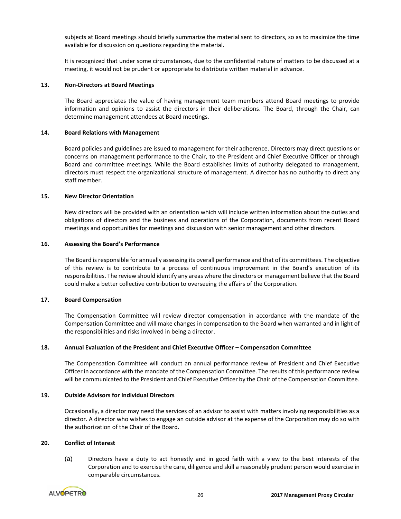subjects at Board meetings should briefly summarize the material sent to directors, so as to maximize the time available for discussion on questions regarding the material.

It is recognized that under some circumstances, due to the confidential nature of matters to be discussed at a meeting, it would not be prudent or appropriate to distribute written material in advance.

#### **13. Non-Directors at Board Meetings**

The Board appreciates the value of having management team members attend Board meetings to provide information and opinions to assist the directors in their deliberations. The Board, through the Chair, can determine management attendees at Board meetings.

## **14. Board Relations with Management**

Board policies and guidelines are issued to management for their adherence. Directors may direct questions or concerns on management performance to the Chair, to the President and Chief Executive Officer or through Board and committee meetings. While the Board establishes limits of authority delegated to management, directors must respect the organizational structure of management. A director has no authority to direct any staff member.

# **15. New Director Orientation**

New directors will be provided with an orientation which will include written information about the duties and obligations of directors and the business and operations of the Corporation, documents from recent Board meetings and opportunities for meetings and discussion with senior management and other directors.

## **16. Assessing the Board's Performance**

The Board is responsible for annually assessing its overall performance and that of its committees. The objective of this review is to contribute to a process of continuous improvement in the Board's execution of its responsibilities. The review should identify any areas where the directors or management believe that the Board could make a better collective contribution to overseeing the affairs of the Corporation.

# **17. Board Compensation**

The Compensation Committee will review director compensation in accordance with the mandate of the Compensation Committee and will make changes in compensation to the Board when warranted and in light of the responsibilities and risks involved in being a director.

#### **18. Annual Evaluation of the President and Chief Executive Officer – Compensation Committee**

The Compensation Committee will conduct an annual performance review of President and Chief Executive Officer in accordance with the mandate of the Compensation Committee. The results of this performance review will be communicated to the President and Chief Executive Officer by the Chair of the Compensation Committee.

# **19. Outside Advisors for Individual Directors**

Occasionally, a director may need the services of an advisor to assist with matters involving responsibilities as a director. A director who wishes to engage an outside advisor at the expense of the Corporation may do so with the authorization of the Chair of the Board.

## **20. Conflict of Interest**

(a) Directors have a duty to act honestly and in good faith with a view to the best interests of the Corporation and to exercise the care, diligence and skill a reasonably prudent person would exercise in comparable circumstances.